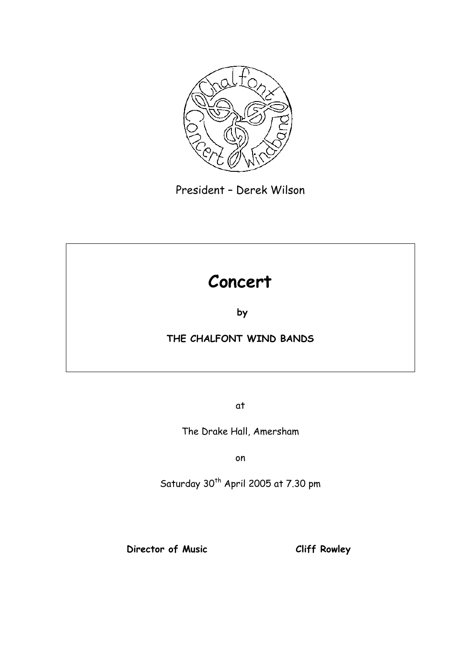

President – Derek Wilson

# **Concert**

**by** 

### **THE CHALFONT WIND BANDS**

at

The Drake Hall, Amersham

on

Saturday 30<sup>th</sup> April 2005 at 7.30 pm

**Director of Music Cliff Rowley**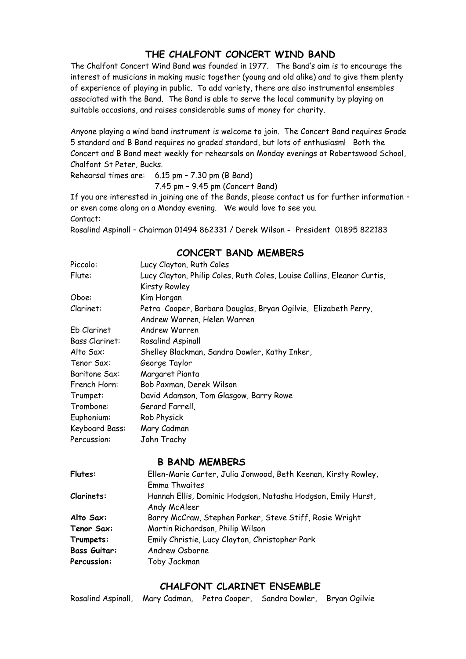#### **THE CHALFONT CONCERT WIND BAND**

The Chalfont Concert Wind Band was founded in 1977. The Band's aim is to encourage the interest of musicians in making music together (young and old alike) and to give them plenty of experience of playing in public. To add variety, there are also instrumental ensembles associated with the Band. The Band is able to serve the local community by playing on suitable occasions, and raises considerable sums of money for charity.

Anyone playing a wind band instrument is welcome to join. The Concert Band requires Grade 5 standard and B Band requires no graded standard, but lots of enthusiasm! Both the Concert and B Band meet weekly for rehearsals on Monday evenings at Robertswood School, Chalfont St Peter, Bucks.

Rehearsal times are: 6.15 pm – 7.30 pm (B Band)

7.45 pm – 9.45 pm (Concert Band)

If you are interested in joining one of the Bands, please contact us for further information – or even come along on a Monday evening. We would love to see you. Contact:

Rosalind Aspinall – Chairman 01494 862331 / Derek Wilson - President 01895 822183

#### **CONCERT BAND MEMBERS**

| Piccolo:              | Lucy Clayton, Ruth Coles                                                |
|-----------------------|-------------------------------------------------------------------------|
| Flute:                | Lucy Clayton, Philip Coles, Ruth Coles, Louise Collins, Eleanor Curtis, |
|                       | <b>Kirsty Rowley</b>                                                    |
| Oboe:                 | Kim Horgan                                                              |
| Clarinet:             | Petra Cooper, Barbara Douglas, Bryan Ogilvie, Elizabeth Perry,          |
|                       | Andrew Warren, Helen Warren                                             |
| Eb Clarinet           | Andrew Warren                                                           |
| <b>Bass Clarinet:</b> | Rosalind Aspinall                                                       |
| Alto Sax:             | Shelley Blackman, Sandra Dowler, Kathy Inker,                           |
| Tenor Sax:            | George Taylor                                                           |
| <b>Baritone Sax:</b>  | Margaret Pianta                                                         |
| French Horn:          | Bob Paxman, Derek Wilson                                                |
| Trumpet:              | David Adamson, Tom Glasgow, Barry Rowe                                  |
| Trombone:             | Gerard Farrell,                                                         |
| Euphonium:            | Rob Physick                                                             |
| Keyboard Bass:        | Mary Cadman                                                             |
| Percussion:           | John Trachy                                                             |

#### **B BAND MEMBERS**

| Hannah Ellis, Dominic Hodgson, Natasha Hodgson, Emily Hurst, |
|--------------------------------------------------------------|
|                                                              |
|                                                              |
|                                                              |
|                                                              |
|                                                              |
|                                                              |
|                                                              |

#### **CHALFONT CLARINET ENSEMBLE**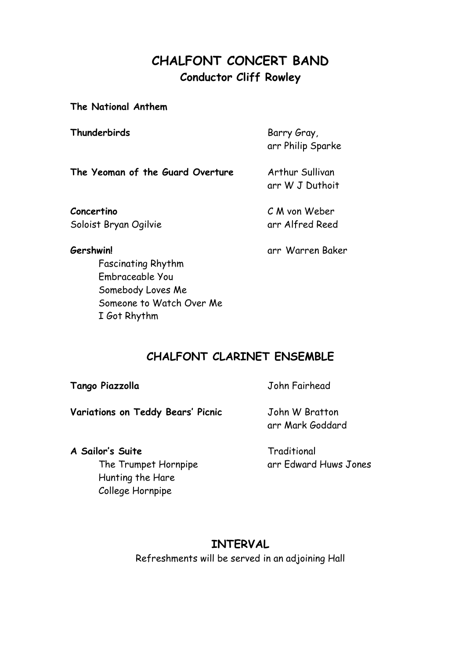## **CHALFONT CONCERT BAND Conductor Cliff Rowley**

**The National Anthem**

**Thunderbirds** Barry Gray,

arr Philip Sparke

**The Yeoman of the Guard Overture** Arthur Sullivan

arr W J Duthoit

**Concertino** C M von Weber Soloist Bryan Ogilvie arr Alfred Reed

**Gershwin!** arr Warren Baker

Fascinating Rhythm Embraceable You Somebody Loves Me Someone to Watch Over Me I Got Rhythm

**CHALFONT CLARINET ENSEMBLE**

**Tango Piazzolla** John Fairhead

Variations on Teddy Bears' Picnic **John W Bratton** 

arr Mark Goddard

A Sailor's Suite **Traditional** Hunting the Hare

College Hornpipe

The Trumpet Hornpipe arr Edward Huws Jones

### **INTERVAL**

Refreshments will be served in an adjoining Hall